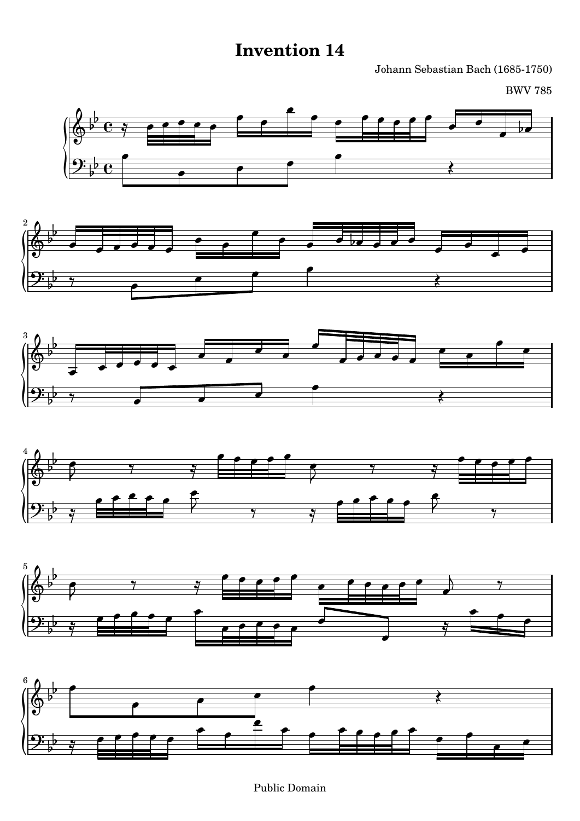## **Invention 14**

Johann Sebastian Bach (1685-1750)

BWV 785













Public Domain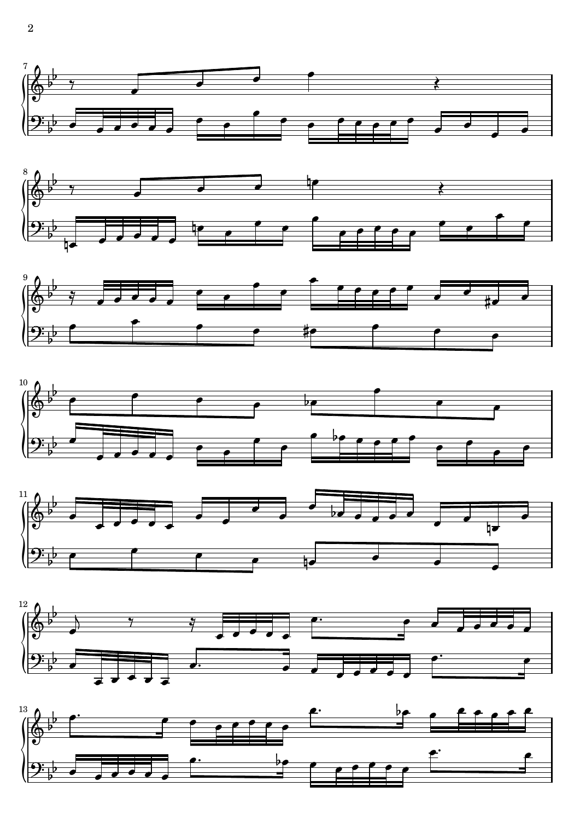